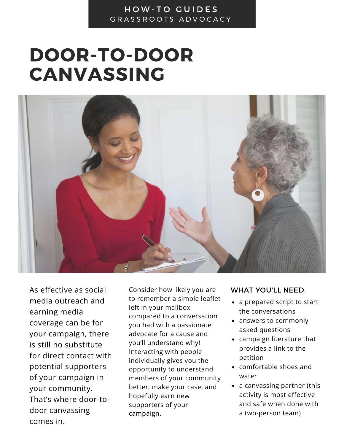## DOOR-TO-DOOR CANVASSING



As effective as social media outreach and earning media coverage can be for your campaign, there is still no substitute for direct contact with potential supporters of your campaign in your community. That's where door-todoor canvassing comes in.

Consider how likely you are to remember a simple leaflet left in your mailbox compared to a conversation you had with a passionate advocate for a cause and you'll understand why! Interacting with people individually gives you the opportunity to understand members of your community better, make your case, and hopefully earn new supporters of your campaign.

## WHAT YOU'LL NEED:

- a prepared script to start the conversations
- answers to commonly asked questions
- campaign literature that provides a link to the petition
- comfortable shoes and water
- a canvassing partner (this activity is most effective and safe when done with a two-person team)